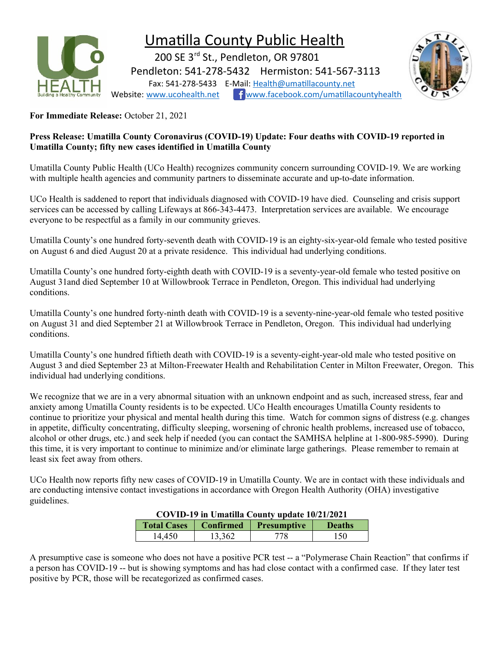

## Umatilla County Public Health

200 SE 3<sup>rd</sup> St., Pendleton, OR 97801 Pendleton: 541-278-5432 Hermiston: 541-567-3113 Fax: 541-278-5433 E-Mail: [Health@umatillacounty.net](mailto:Health@umatillacounty.net) Website: [www.ucohealth.net](http://www.ucohealth.net/) f[www.facebook.com/umatillacountyhealth](http://www.facebook.com/umatillacountyhealth)



**For Immediate Release:** October 21, 2021

## **Press Release: Umatilla County Coronavirus (COVID-19) Update: Four deaths with COVID-19 reported in Umatilla County; fifty new cases identified in Umatilla County**

Umatilla County Public Health (UCo Health) recognizes community concern surrounding COVID-19. We are working with multiple health agencies and community partners to disseminate accurate and up-to-date information.

UCo Health is saddened to report that individuals diagnosed with COVID-19 have died. Counseling and crisis support services can be accessed by calling Lifeways at 866-343-4473. Interpretation services are available. We encourage everyone to be respectful as a family in our community grieves.

Umatilla County's one hundred forty-seventh death with COVID-19 is an eighty-six-year-old female who tested positive on August 6 and died August 20 at a private residence. This individual had underlying conditions.

Umatilla County's one hundred forty-eighth death with COVID-19 is a seventy-year-old female who tested positive on August 31and died September 10 at Willowbrook Terrace in Pendleton, Oregon. This individual had underlying conditions.

Umatilla County's one hundred forty-ninth death with COVID-19 is a seventy-nine-year-old female who tested positive on August 31 and died September 21 at Willowbrook Terrace in Pendleton, Oregon. This individual had underlying conditions.

Umatilla County's one hundred fiftieth death with COVID-19 is a seventy-eight-year-old male who tested positive on August 3 and died September 23 at Milton-Freewater Health and Rehabilitation Center in Milton Freewater, Oregon. This individual had underlying conditions.

We recognize that we are in a very abnormal situation with an unknown endpoint and as such, increased stress, fear and anxiety among Umatilla County residents is to be expected. UCo Health encourages Umatilla County residents to continue to prioritize your physical and mental health during this time. Watch for common signs of distress (e.g. changes in appetite, difficulty concentrating, difficulty sleeping, worsening of chronic health problems, increased use of tobacco, alcohol or other drugs, etc.) and seek help if needed (you can contact the SAMHSA helpline at 1-800-985-5990). During this time, it is very important to continue to minimize and/or eliminate large gatherings. Please remember to remain at least six feet away from others.

UCo Health now reports fifty new cases of COVID-19 in Umatilla County. We are in contact with these individuals and are conducting intensive contact investigations in accordance with Oregon Health Authority (OHA) investigative guidelines.

|                    | COVID-19 in Umatilla County update 10/21/2021 |                    |               |  |  |  |
|--------------------|-----------------------------------------------|--------------------|---------------|--|--|--|
| <b>Total Cases</b> | Confirmed                                     | <b>Presumptive</b> | <b>Deaths</b> |  |  |  |
| 14,450             | 13,362                                        | 778                | 150           |  |  |  |

A presumptive case is someone who does not have a positive PCR test -- a "Polymerase Chain Reaction" that confirms if a person has COVID-19 -- but is showing symptoms and has had close contact with a confirmed case. If they later test positive by PCR, those will be recategorized as confirmed cases.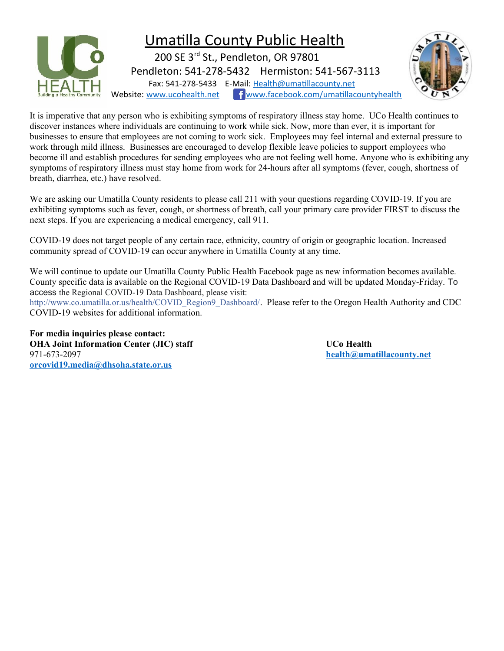

It is imperative that any person who is exhibiting symptoms of respiratory illness stay home. UCo Health continues to discover instances where individuals are continuing to work while sick. Now, more than ever, it is important for businesses to ensure that employees are not coming to work sick. Employees may feel internal and external pressure to work through mild illness. Businesses are encouraged to develop flexible leave policies to support employees who become ill and establish procedures for sending employees who are not feeling well home. Anyone who is exhibiting any symptoms of respiratory illness must stay home from work for 24-hours after all symptoms (fever, cough, shortness of breath, diarrhea, etc.) have resolved.

We are asking our Umatilla County residents to please call 211 with your questions regarding COVID-19. If you are exhibiting symptoms such as fever, cough, or shortness of breath, call your primary care provider FIRST to discuss the next steps. If you are experiencing a medical emergency, call 911.

COVID-19 does not target people of any certain race, ethnicity, country of origin or geographic location. Increased community spread of COVID-19 can occur anywhere in Umatilla County at any time.

We will continue to update our Umatilla County Public Health Facebook page as new information becomes available. County specific data is available on the Regional COVID-19 Data Dashboard and will be updated Monday-Friday. To access the Regional COVID-19 Data Dashboard, please visit:

[http://www.co.umatilla.or.us/health/COVID\\_Region9\\_Dashboard/](http://www.co.umatilla.or.us/health/COVID_Region9_Dashboard/?fbclid=IwAR0h4wkoBG5s9A_ZsuIOF-T2nJDh6-y7Edb5UDEXIZ3nkDCyZAGHQmkXVuQ). Please refer to the Oregon Health Authority and CDC COVID-19 websites for additional information.

**For media inquiries please contact: OHA Joint Information Center (JIC) staff UCo Health** 971-673-2097 **[health@umatillacounty.net](mailto:health@umatillacounty.net) [orcovid19.media@dhsoha.state.or.us](mailto:orcovid19.media@dhsoha.state.or.us)**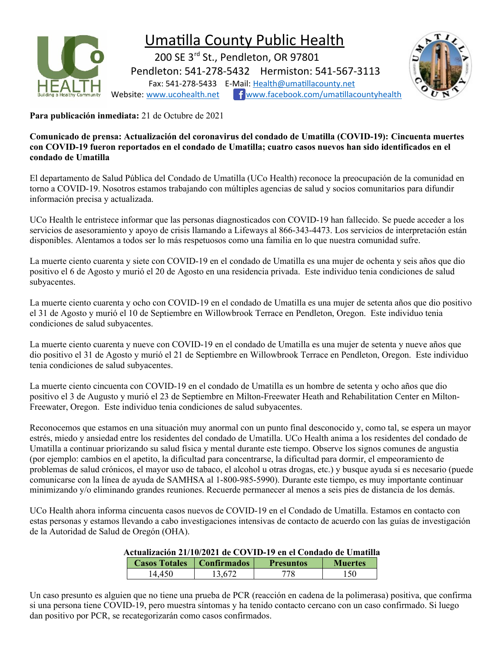

## Umatilla County Public Health

 200 SE 3rd St., Pendleton, OR 97801 Pendleton: 541-278-5432 Hermiston: 541-567-3113 Fax: 541-278-5433 E-Mail: [Health@umatillacounty.net](mailto:Health@umatillacounty.net) Website: [www.ucohealth.net](http://www.ucohealth.net/) f[www.facebook.com/umatillacountyhealth](http://www.facebook.com/umatillacountyhealth)



**Para publicación inmediata:** 21 de Octubre de 2021

**Comunicado de prensa: Actualización del coronavirus del condado de Umatilla (COVID-19): Cincuenta muertes con COVID-19 fueron reportados en el condado de Umatilla; cuatro casos nuevos han sido identificados en el condado de Umatilla**

El departamento de Salud Pública del Condado de Umatilla (UCo Health) reconoce la preocupación de la comunidad en torno a COVID-19. Nosotros estamos trabajando con múltiples agencias de salud y socios comunitarios para difundir información precisa y actualizada.

UCo Health le entristece informar que las personas diagnosticados con COVID-19 han fallecido. Se puede acceder a los servicios de asesoramiento y apoyo de crisis llamando a Lifeways al 866-343-4473. Los servicios de interpretación están disponibles. Alentamos a todos ser lo más respetuosos como una familia en lo que nuestra comunidad sufre.

La muerte ciento cuarenta y siete con COVID-19 en el condado de Umatilla es una mujer de ochenta y seis años que dio positivo el 6 de Agosto y murió el 20 de Agosto en una residencia privada. Este individuo tenia condiciones de salud subyacentes.

La muerte ciento cuarenta y ocho con COVID-19 en el condado de Umatilla es una mujer de setenta años que dio positivo el 31 de Agosto y murió el 10 de Septiembre en Willowbrook Terrace en Pendleton, Oregon. Este individuo tenia condiciones de salud subyacentes.

La muerte ciento cuarenta y nueve con COVID-19 en el condado de Umatilla es una mujer de setenta y nueve años que dio positivo el 31 de Agosto y murió el 21 de Septiembre en Willowbrook Terrace en Pendleton, Oregon. Este individuo tenia condiciones de salud subyacentes.

La muerte ciento cincuenta con COVID-19 en el condado de Umatilla es un hombre de setenta y ocho años que dio positivo el 3 de Augusto y murió el 23 de Septiembre en Milton-Freewater Heath and Rehabilitation Center en Milton-Freewater, Oregon. Este individuo tenia condiciones de salud subyacentes.

Reconocemos que estamos en una situación muy anormal con un punto final desconocido y, como tal, se espera un mayor estrés, miedo y ansiedad entre los residentes del condado de Umatilla. UCo Health anima a los residentes del condado de Umatilla a continuar priorizando su salud física y mental durante este tiempo. Observe los signos comunes de angustia (por ejemplo: cambios en el apetito, la dificultad para concentrarse, la dificultad para dormir, el empeoramiento de problemas de salud crónicos, el mayor uso de tabaco, el alcohol u otras drogas, etc.) y busque ayuda si es necesario (puede comunicarse con la línea de ayuda de SAMHSA al 1-800-985-5990). Durante este tiempo, es muy importante continuar minimizando y/o eliminando grandes reuniones. Recuerde permanecer al menos a seis pies de distancia de los demás.

UCo Health ahora informa cincuenta casos nuevos de COVID-19 en el Condado de Umatilla. Estamos en contacto con estas personas y estamos llevando a cabo investigaciones intensivas de contacto de acuerdo con las guías de investigación de la Autoridad de Salud de Oregón (OHA).

## **Actualización 21/10/2021 de COVID-19 en el Condado de Umatilla**

| <b>Casos Totales</b> | Confirmados | <b>Presuntos</b> | <b>Muertes</b> |
|----------------------|-------------|------------------|----------------|
| 14.450               | 3.672       |                  |                |

Un caso presunto es alguien que no tiene una prueba de PCR (reacción en cadena de la polimerasa) positiva, que confirma si una persona tiene COVID-19, pero muestra síntomas y ha tenido contacto cercano con un caso confirmado. Si luego dan positivo por PCR, se recategorizarán como casos confirmados.